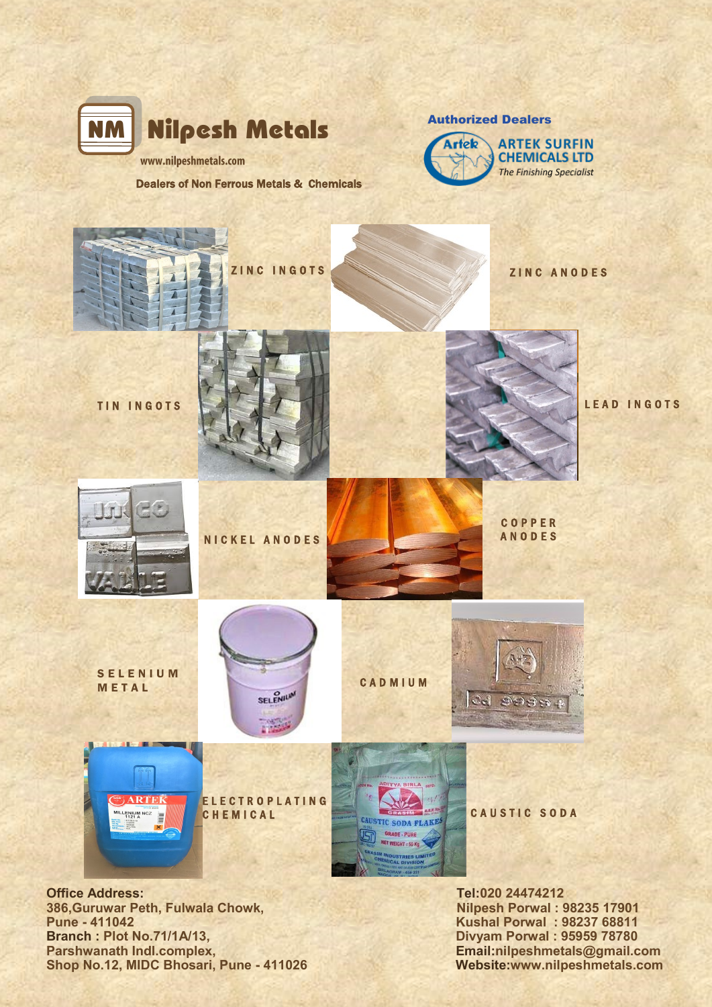

Authorized Dealers **ARTEK SURFIN Artok CHEMICALS LTD The Finishing Specialist** 

Dealers of Non Ferrous Metals & Chemicals



**386,Guruwar Peth, Fulwala Chowk, Nilpesh Porwal : 98235 17901<br>Pune - 411042 Kushal Porwal : 98237 68811 Branch : Plot No.71/1A/13, Divyam Porwal : 95959 78780<br>Parshwanath Indi.complex, Branch Schwanath Indi.complex, Branch Schwanath Indi.complex, Branch Schwanath India Shop No.12, MIDC Bhosari, Pune - 411026** 

**Pune - 411042 Kushal Porwal : 98237 68811 Email:nilpeshmetals@gmail.com**<br>Website:www.nilpeshmetals.com